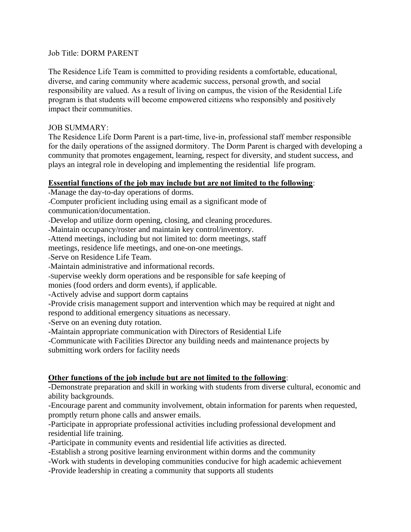#### Job Title: DORM PARENT

The Residence Life Team is committed to providing residents a comfortable, educational, diverse, and caring community where academic success, personal growth, and social responsibility are valued. As a result of living on campus, the vision of the Residential Life program is that students will become empowered citizens who responsibly and positively impact their communities.

### JOB SUMMARY:

The Residence Life Dorm Parent is a part-time, live-in, professional staff member responsible for the daily operations of the assigned dormitory. The Dorm Parent is charged with developing a community that promotes engagement, learning, respect for diversity, and student success, and plays an integral role in developing and implementing the residential life program.

#### **Essential functions of the job may include but are not limited to the following**:

-Manage the day-to-day operations of dorms.

-Computer proficient including using email as a significant mode of communication/documentation.

-Develop and utilize dorm opening, closing, and cleaning procedures.

-Maintain occupancy/roster and maintain key control/inventory.

-Attend meetings, including but not limited to: dorm meetings, staff

meetings, residence life meetings, and one-on-one meetings.

-Serve on Residence Life Team.

-Maintain administrative and informational records.

-Supervise weekly dorm operations and be responsible for safe keeping of

monies (food orders and dorm events), if applicable.

-Actively advise and support dorm captains

-Provide crisis management support and intervention which may be required at night and respond to additional emergency situations as necessary.

-Serve on an evening duty rotation.

-Maintain appropriate communication with Directors of Residential Life

-Communicate with Facilities Director any building needs and maintenance projects by submitting work orders for facility needs

# **Other functions of the job include but are not limited to the following**:

-Demonstrate preparation and skill in working with students from diverse cultural, economic and ability backgrounds.

-Encourage parent and community involvement, obtain information for parents when requested, promptly return phone calls and answer emails.

-Participate in appropriate professional activities including professional development and residential life training.

-Participate in community events and residential life activities as directed.

-Establish a strong positive learning environment within dorms and the community

-Work with students in developing communities conducive for high academic achievement

-Provide leadership in creating a community that supports all students